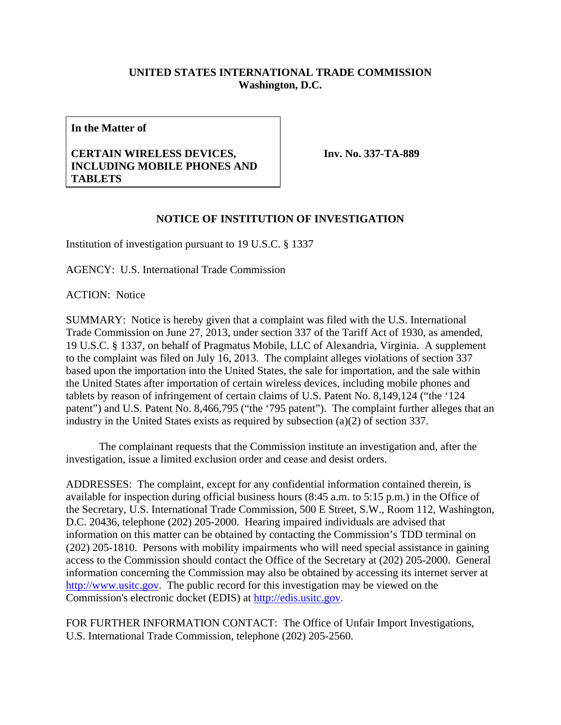## **UNITED STATES INTERNATIONAL TRADE COMMISSION Washington, D.C.**

**In the Matter of** 

## **CERTAIN WIRELESS DEVICES, INCLUDING MOBILE PHONES AND TABLETS**

**Inv. No. 337-TA-889**

## **NOTICE OF INSTITUTION OF INVESTIGATION**

Institution of investigation pursuant to 19 U.S.C. § 1337

AGENCY: U.S. International Trade Commission

ACTION: Notice

SUMMARY: Notice is hereby given that a complaint was filed with the U.S. International Trade Commission on June 27, 2013, under section 337 of the Tariff Act of 1930, as amended, 19 U.S.C. § 1337, on behalf of Pragmatus Mobile, LLC of Alexandria, Virginia. A supplement to the complaint was filed on July 16, 2013. The complaint alleges violations of section 337 based upon the importation into the United States, the sale for importation, and the sale within the United States after importation of certain wireless devices, including mobile phones and tablets by reason of infringement of certain claims of U.S. Patent No. 8,149,124 ("the '124 patent") and U.S. Patent No. 8,466,795 ("the '795 patent"). The complaint further alleges that an industry in the United States exists as required by subsection (a)(2) of section 337.

 The complainant requests that the Commission institute an investigation and, after the investigation, issue a limited exclusion order and cease and desist orders.

ADDRESSES: The complaint, except for any confidential information contained therein, is available for inspection during official business hours (8:45 a.m. to 5:15 p.m.) in the Office of the Secretary, U.S. International Trade Commission, 500 E Street, S.W., Room 112, Washington, D.C. 20436, telephone (202) 205-2000. Hearing impaired individuals are advised that information on this matter can be obtained by contacting the Commission's TDD terminal on (202) 205-1810. Persons with mobility impairments who will need special assistance in gaining access to the Commission should contact the Office of the Secretary at (202) 205-2000. General information concerning the Commission may also be obtained by accessing its internet server at http://www.usitc.gov. The public record for this investigation may be viewed on the Commission's electronic docket (EDIS) at http://edis.usitc.gov.

FOR FURTHER INFORMATION CONTACT: The Office of Unfair Import Investigations, U.S. International Trade Commission, telephone (202) 205-2560.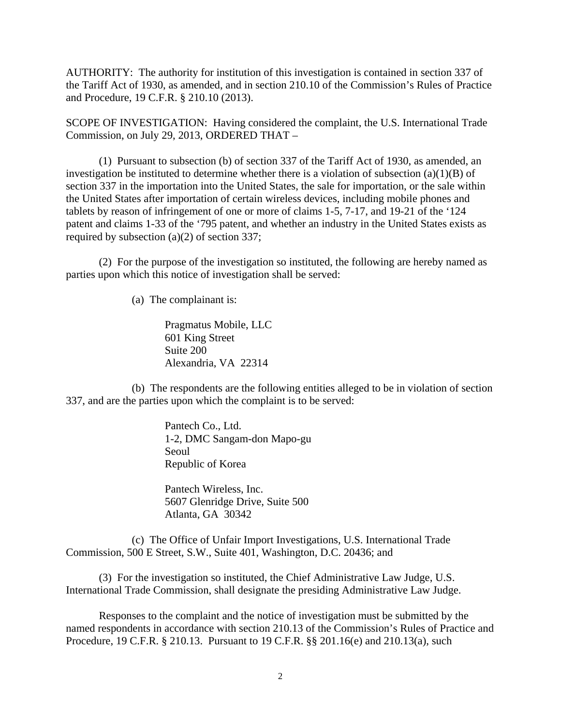AUTHORITY: The authority for institution of this investigation is contained in section 337 of the Tariff Act of 1930, as amended, and in section 210.10 of the Commission's Rules of Practice and Procedure, 19 C.F.R. § 210.10 (2013).

SCOPE OF INVESTIGATION: Having considered the complaint, the U.S. International Trade Commission, on July 29, 2013, ORDERED THAT –

 (1) Pursuant to subsection (b) of section 337 of the Tariff Act of 1930, as amended, an investigation be instituted to determine whether there is a violation of subsection  $(a)(1)(B)$  of section 337 in the importation into the United States, the sale for importation, or the sale within the United States after importation of certain wireless devices, including mobile phones and tablets by reason of infringement of one or more of claims 1-5, 7-17, and 19-21 of the '124 patent and claims 1-33 of the '795 patent, and whether an industry in the United States exists as required by subsection (a)(2) of section 337;

 (2) For the purpose of the investigation so instituted, the following are hereby named as parties upon which this notice of investigation shall be served:

(a) The complainant is:

 Pragmatus Mobile, LLC 601 King Street Suite 200 Alexandria, VA 22314

 (b) The respondents are the following entities alleged to be in violation of section 337, and are the parties upon which the complaint is to be served:

> Pantech Co., Ltd. 1-2, DMC Sangam-don Mapo-gu Seoul Republic of Korea

 Pantech Wireless, Inc. 5607 Glenridge Drive, Suite 500 Atlanta, GA 30342

 (c) The Office of Unfair Import Investigations, U.S. International Trade Commission, 500 E Street, S.W., Suite 401, Washington, D.C. 20436; and

 (3) For the investigation so instituted, the Chief Administrative Law Judge, U.S. International Trade Commission, shall designate the presiding Administrative Law Judge.

 Responses to the complaint and the notice of investigation must be submitted by the named respondents in accordance with section 210.13 of the Commission's Rules of Practice and Procedure, 19 C.F.R. § 210.13. Pursuant to 19 C.F.R. §§ 201.16(e) and 210.13(a), such